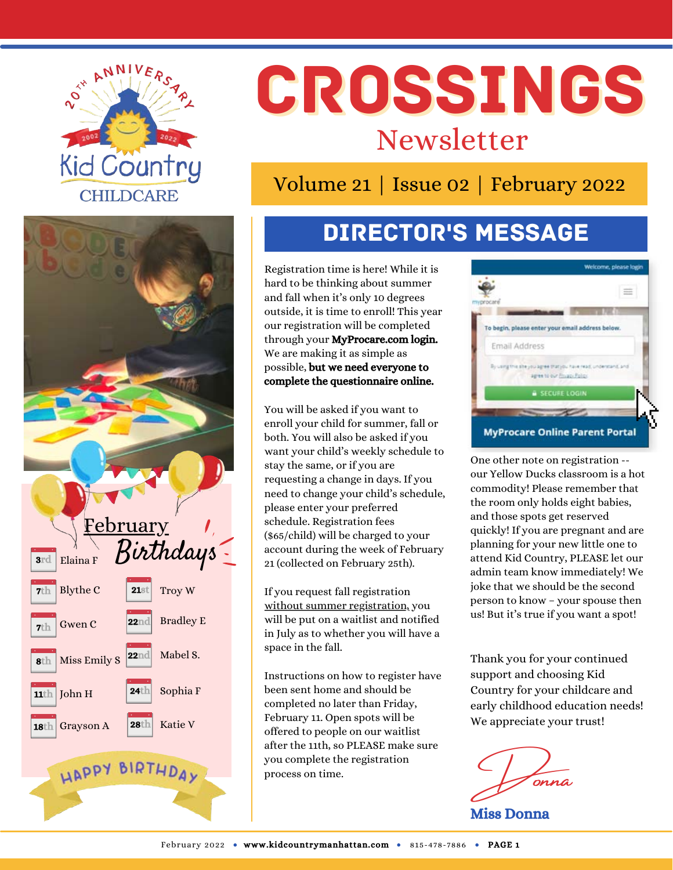



# CROSSINGS Newsletter

Volume 21 | Issue 02 | February 2022

# Director's Message

Registration time is here! While it is hard to be thinking about summer and fall when it's only 10 degrees outside, it is time to enroll! This year our registration will be completed through your MyProcare.com login. We are making it as simple as possible, but we need everyone to complete the questionnaire online.

You will be asked if you want to enroll your child for summer, fall or both. You will also be asked if you want your child's weekly schedule to stay the same, or if you are requesting a change in days. If you need to change your child's schedule, please enter your preferred schedule. Registration fees (\$65/child) will be charged to your account during the week of February 21 (collected on February 25th).

If you request fall registration without summer registration, you will be put on a waitlist and notified in July as to whether you will have a space in the fall.

Instructions on how to register have been sent home and should be completed no later than Friday, February 11. Open spots will be offered to people on our waitlist after the 11th, so PLEASE make sure you complete the registration process on time.



One other note on registration - our Yellow Ducks classroom is a hot commodity! Please remember that the room only holds eight babies, and those spots get reserved quickly! If you are pregnant and are planning for your new little one to attend Kid Country, PLEASE let our admin team know immediately! We joke that we should be the second person to know – your spouse then us! But it's true if you want a spot!

Thank you for your continued support and choosing Kid Country for your childcare and early childhood education needs! We appreciate your trust!

Donna Miss Donna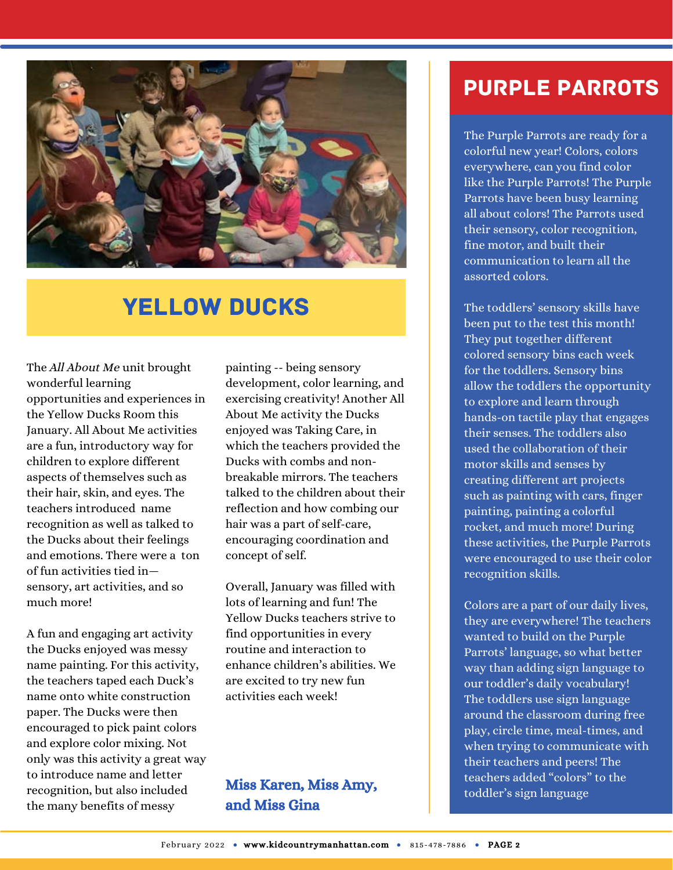

## **YELLOW DUCKS**

The All About Me unit brought wonderful learning opportunities and experiences in the Yellow Ducks Room this January. All About Me activities are a fun, introductory way for children to explore different aspects of themselves such as their hair, skin, and eyes. The teachers introduced name recognition as well as talked to the Ducks about their feelings and emotions. There were a ton of fun activities tied in sensory, art activities, and so much more!

A fun and engaging art activity the Ducks enjoyed was messy name painting. For this activity, the teachers taped each Duck's name onto white construction paper. The Ducks were then encouraged to pick paint colors and explore color mixing. Not only was this activity a great way to introduce name and letter recognition, but also included the many benefits of messy

painting -- being sensory development, color learning, and exercising creativity! Another All About Me activity the Ducks enjoyed was Taking Care, in which the teachers provided the Ducks with combs and nonbreakable mirrors. The teachers talked to the children about their reflection and how combing our hair was a part of self-care, encouraging coordination and concept of self.

Overall, January was filled with lots of learning and fun! The Yellow Ducks teachers strive to find opportunities in every routine and interaction to enhance children's abilities. We are excited to try new fun activities each week!

#### Miss Karen, Miss Amy, and Miss Gina

### Purple Parrots

The Purple Parrots are ready for a colorful new year! Colors, colors everywhere, can you find color like the Purple Parrots! The Purple Parrots have been busy learning all about colors! The Parrots used their sensory, color recognition, fine motor, and built their communication to learn all the assorted colors.

The toddlers' sensory skills have been put to the test this month! They put together different colored sensory bins each week for the toddlers. Sensory bins allow the toddlers the opportunity to explore and learn through hands-on tactile play that engages their senses. The toddlers also used the collaboration of their motor skills and senses by creating different art projects such as painting with cars, finger painting, painting a colorful rocket, and much more! During these activities, the Purple Parrots were encouraged to use their color recognition skills.

Colors are a part of our daily lives, they are everywhere! The teachers wanted to build on the Purple Parrots' language, so what better way than adding sign language to our toddler's daily vocabulary! The toddlers use sign language around the classroom during free play, circle time, meal-times, and when trying to communicate with their teachers and peers! The teachers added "colors" to the toddler's sign language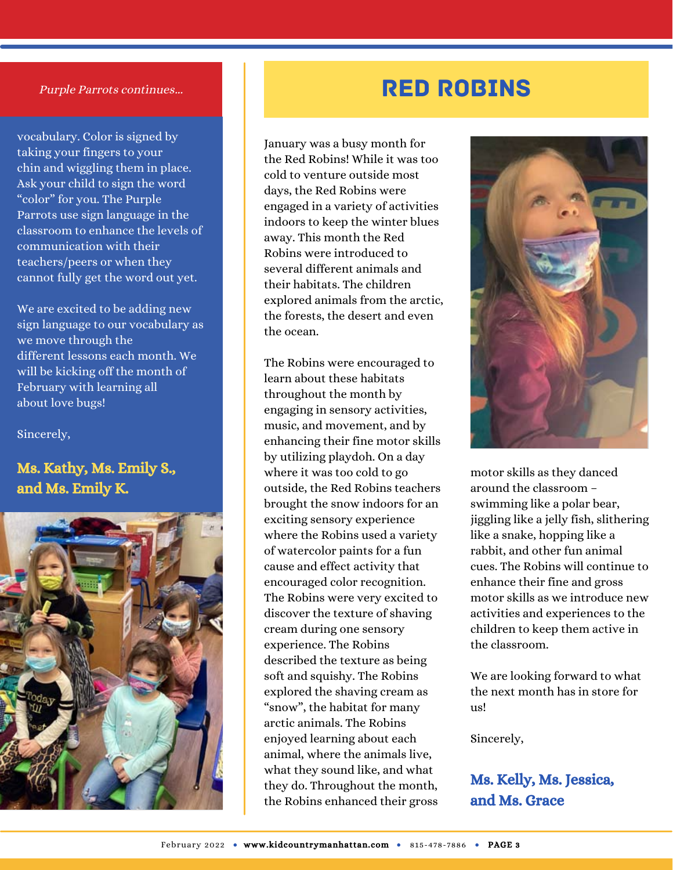#### Purple Parrots continues...

vocabulary. Color is signed by taking your fingers to your chin and wiggling them in place. Ask your child to sign the word "color" for you. The Purple Parrots use sign language in the classroom to enhance the levels of communication with their teachers/peers or when they cannot fully get the word out yet.

We are excited to be adding new sign language to our vocabulary as we move through the different lessons each month. We will be kicking off the month of February with learning all about love bugs!

Sincerely,

#### Ms. Kathy, Ms. Emily S., and Ms. Emily K.



### Red Robins

January was a busy month for the Red Robins! While it was too cold to venture outside most days, the Red Robins were engaged in a variety of activities indoors to keep the winter blues away. This month the Red Robins were introduced to several different animals and their habitats. The children explored animals from the arctic, the forests, the desert and even the ocean.

The Robins were encouraged to learn about these habitats throughout the month by engaging in sensory activities, music, and movement, and by enhancing their fine motor skills by utilizing playdoh. On a day where it was too cold to go outside, the Red Robins teachers brought the snow indoors for an exciting sensory experience where the Robins used a variety of watercolor paints for a fun cause and effect activity that encouraged color recognition. The Robins were very excited to discover the texture of shaving cream during one sensory experience. The Robins described the texture as being soft and squishy. The Robins explored the shaving cream as "snow", the habitat for many arctic animals. The Robins enjoyed learning about each animal, where the animals live, what they sound like, and what they do. Throughout the month, the Robins enhanced their gross



motor skills as they danced around the classroom – swimming like a polar bear, jiggling like a jelly fish, slithering like a snake, hopping like a rabbit, and other fun animal cues. The Robins will continue to enhance their fine and gross motor skills as we introduce new activities and experiences to the children to keep them active in the classroom.

We are looking forward to what the next month has in store for  $11s!$ 

Sincerely,

#### Ms. Kelly, Ms. Jessica, and Ms. Grace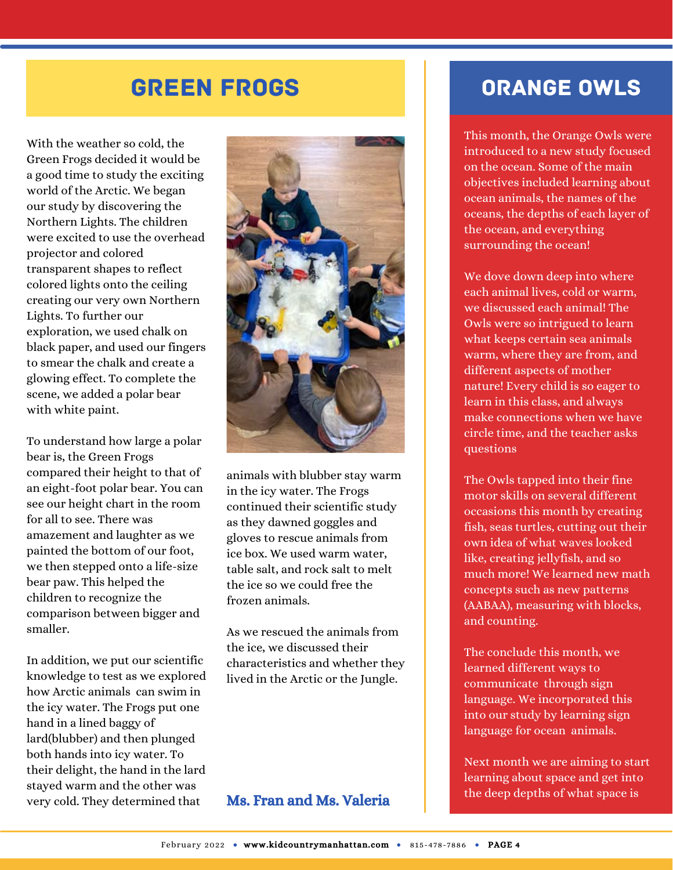### Green Frogs

With the weather so cold, the Green Frogs decided it would be a good time to study the exciting world of the Arctic. We began our study by discovering the Northern Lights. The children were excited to use the overhead projector and colored transparent shapes to reflect colored lights onto the ceiling creating our very own Northern Lights. To further our exploration, we used chalk on black paper, and used our fingers to smear the chalk and create a glowing effect. To complete the scene, we added a polar bear with white paint.

To understand how large a polar bear is, the Green Frogs compared their height to that of an eight-foot polar bear. You can see our height chart in the room for all to see. There was amazement and laughter as we painted the bottom of our foot, we then stepped onto a life-size bear paw. This helped the children to recognize the comparison between bigger and smaller.

In addition, we put our scientific knowledge to test as we explored how Arctic animals can swim in the icy water. The Frogs put one hand in a lined baggy of lard(blubber) and then plunged both hands into icy water. To their delight, the hand in the lard stayed warm and the other was very cold. They determined that



animals with blubber stay warm in the icy water. The Frogs continued their scientific study as they dawned goggles and gloves to rescue animals from ice box. We used warm water, table salt, and rock salt to melt the ice so we could free the frozen animals.

As we rescued the animals from the ice, we discussed their characteristics and whether they lived in the Arctic or the Jungle.

#### Ms. Fran and Ms. Valeria

### Orange Owls

This month, the Orange Owls were introduced to a new study focused on the ocean. Some of the main objectives included learning about ocean animals, the names of the oceans, the depths of each layer of the ocean, and everything surrounding the ocean!

We dove down deep into where each animal lives, cold or warm, we discussed each animal! The Owls were so intrigued to learn what keeps certain sea animals warm, where they are from, and different aspects of mother nature! Every child is so eager to learn in this class, and always make connections when we have circle time, and the teacher asks questions

The Owls tapped into their fine motor skills on several different occasions this month by creating fish, seas turtles, cutting out their own idea of what waves looked like, creating jellyfish, and so much more! We learned new math concepts such as new patterns (AABAA), measuring with blocks, and counting.

The conclude this month, we learned different ways to communicate through sign language. We incorporated this into our study by learning sign language for ocean animals.

Next month we are aiming to start learning about space and get into the deep depths of what space is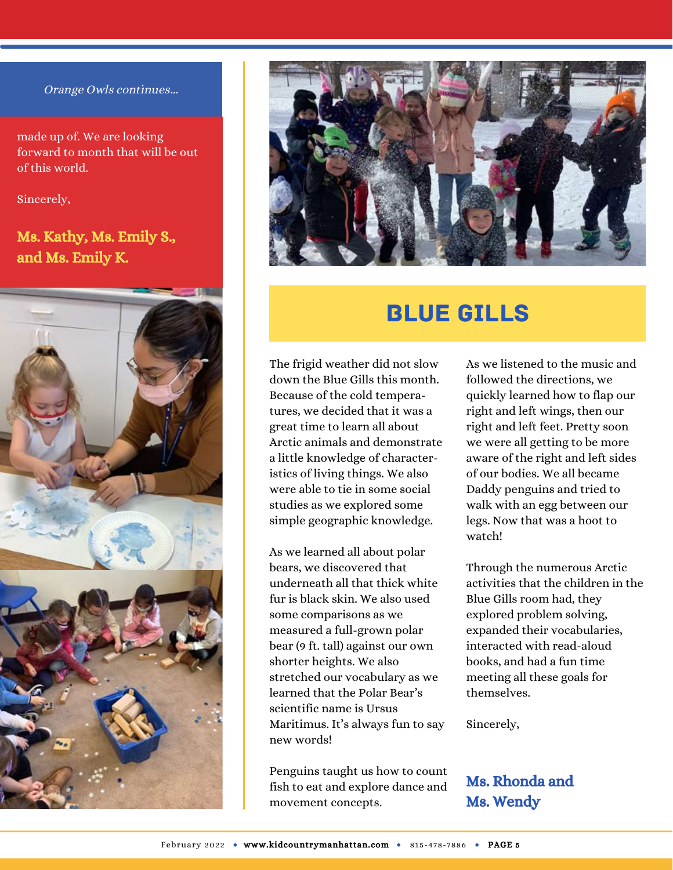#### Orange Owls continues...

made up of. We are looking forward to month that will be out of this world.

Sincerely,

#### Ms. Kathy, Ms. Emily S., and Ms. Emily K.





### Blue Gills

The frigid weather did not slow down the Blue Gills this month. Because of the cold temperatures, we decided that it was a great time to learn all about Arctic animals and demonstrate a little knowledge of characteristics of living things. We also were able to tie in some social studies as we explored some simple geographic knowledge.

As we learned all about polar bears, we discovered that underneath all that thick white fur is black skin. We also used some comparisons as we measured a full-grown polar bear (9 ft. tall) against our own shorter heights. We also stretched our vocabulary as we learned that the Polar Bear's scientific name is Ursus Maritimus. It's always fun to say new words!

Penguins taught us how to count fish to eat and explore dance and movement concepts.

As we listened to the music and followed the directions, we quickly learned how to flap our right and left wings, then our right and left feet. Pretty soon we were all getting to be more aware of the right and left sides of our bodies. We all became Daddy penguins and tried to walk with an egg between our legs. Now that was a hoot to watch!

Through the numerous Arctic activities that the children in the Blue Gills room had, they explored problem solving, expanded their vocabularies, interacted with read-aloud books, and had a fun time meeting all these goals for themselves.

Sincerely,

#### Ms. Rhonda and Ms. Wendy